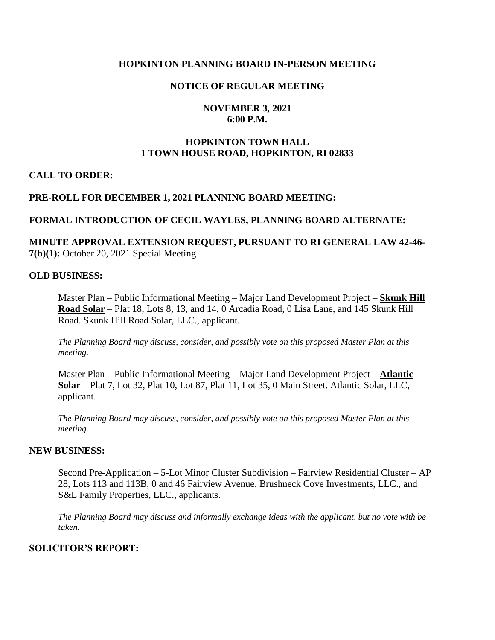## **HOPKINTON PLANNING BOARD IN-PERSON MEETING**

## **NOTICE OF REGULAR MEETING**

## **NOVEMBER 3, 2021 6:00 P.M.**

## **HOPKINTON TOWN HALL 1 TOWN HOUSE ROAD, HOPKINTON, RI 02833**

### **CALL TO ORDER:**

### **PRE-ROLL FOR DECEMBER 1, 2021 PLANNING BOARD MEETING:**

### **FORMAL INTRODUCTION OF CECIL WAYLES, PLANNING BOARD ALTERNATE:**

## **MINUTE APPROVAL EXTENSION REQUEST, PURSUANT TO RI GENERAL LAW 42-46- 7(b)(1):** October 20, 2021 Special Meeting

#### **OLD BUSINESS:**

Master Plan – Public Informational Meeting – Major Land Development Project – **Skunk Hill Road Solar** – Plat 18, Lots 8, 13, and 14, 0 Arcadia Road, 0 Lisa Lane, and 145 Skunk Hill Road. Skunk Hill Road Solar, LLC., applicant.

*The Planning Board may discuss, consider, and possibly vote on this proposed Master Plan at this meeting.* 

Master Plan – Public Informational Meeting – Major Land Development Project – **Atlantic Solar** – Plat 7, Lot 32, Plat 10, Lot 87, Plat 11, Lot 35, 0 Main Street. Atlantic Solar, LLC, applicant.

*The Planning Board may discuss, consider, and possibly vote on this proposed Master Plan at this meeting.* 

#### **NEW BUSINESS:**

Second Pre-Application – 5-Lot Minor Cluster Subdivision – Fairview Residential Cluster – AP 28, Lots 113 and 113B, 0 and 46 Fairview Avenue. Brushneck Cove Investments, LLC., and S&L Family Properties, LLC., applicants.

*The Planning Board may discuss and informally exchange ideas with the applicant, but no vote with be taken.* 

## **SOLICITOR'S REPORT:**